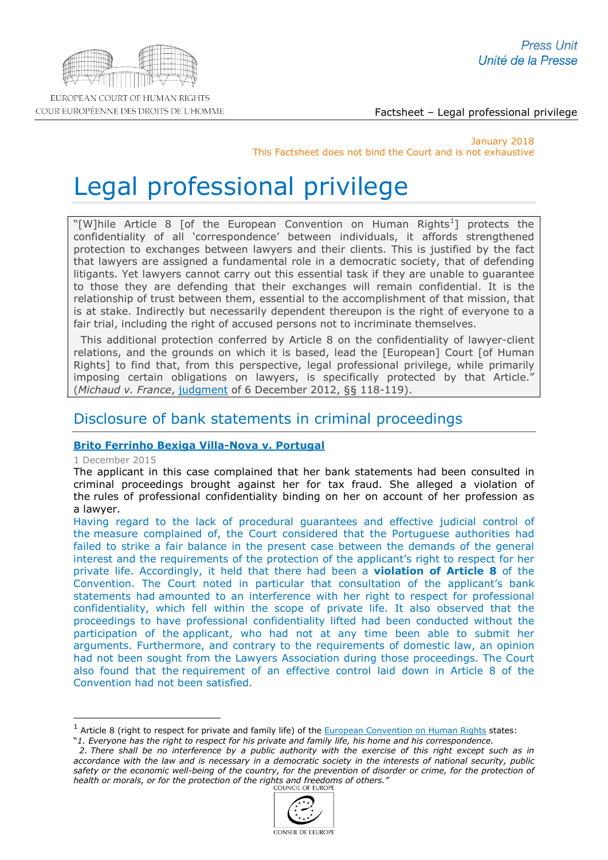

COUR EUROPÉENNE DES DROITS DE L'HOMME

Factsheet – Legal professional privilege

January 2018 This Factsheet does not bind the Court and is not exhaustive

# Legal professional privilege

"[W]hile Article 8 [of the European Convention on Human Rights<sup>[1](#page-0-0)</sup>] protects the confidentiality of all 'correspondence' between individuals, it affords strengthened protection to exchanges between lawyers and their clients. This is justified by the fact that lawyers are assigned a fundamental role in a democratic society, that of defending litigants. Yet lawyers cannot carry out this essential task if they are unable to guarantee to those they are defending that their exchanges will remain confidential. It is the relationship of trust between them, essential to the accomplishment of that mission, that is at stake. Indirectly but necessarily dependent thereupon is the right of everyone to a fair trial, including the right of accused persons not to incriminate themselves.

This additional protection conferred by Article 8 on the confidentiality of lawyer-client relations, and the grounds on which it is based, lead the [European] Court [of Human Rights] to find that, from this perspective, legal professional privilege, while primarily imposing certain obligations on lawyers, is specifically protected by that Article." (*Michaud v. France*, [judgment](http://hudoc.echr.coe.int/eng?i=001-115377) of 6 December 2012, §§ 118-119).

# Disclosure of bank statements in criminal proceedings

# **[Brito Ferrinho Bexiga Villa-Nova v. Portugal](http://hudoc.echr.coe.int/eng-press?i=003-5241113-6502308)**

1 December 2015

-

The applicant in this case complained that her bank statements had been consulted in criminal proceedings brought against her for tax fraud. She alleged a violation of the rules of professional confidentiality binding on her on account of her profession as a lawyer.

Having regard to the lack of procedural guarantees and effective judicial control of the measure complained of, the Court considered that the Portuguese authorities had failed to strike a fair balance in the present case between the demands of the general interest and the requirements of the protection of the applicant's right to respect for her private life. Accordingly, it held that there had been a **violation of Article 8** of the Convention. The Court noted in particular that consultation of the applicant's bank statements had amounted to an interference with her right to respect for professional confidentiality, which fell within the scope of private life. It also observed that the proceedings to have professional confidentiality lifted had been conducted without the participation of the applicant, who had not at any time been able to submit her arguments. Furthermore, and contrary to the requirements of domestic law, an opinion had not been sought from the Lawyers Association during those proceedings. The Court also found that the requirement of an effective control laid down in Article 8 of the Convention had not been satisfied.

 *<sup>2.</sup> There shall be no interference by a public authority with the exercise of this right except such as in accordance with the law and is necessary in a democratic society in the interests of national security, public*  safety or the economic well-being of the country, for the prevention of disorder or crime, for the protection of *health or morals, or for the protection of the rights and freedoms of others."*



<span id="page-0-0"></span> $1$  Article 8 (right to respect for private and family life) of the **European Convention on Human Rights** states:

<sup>&</sup>quot;*1. Everyone has the right to respect for his private and family life, his home and his correspondence.*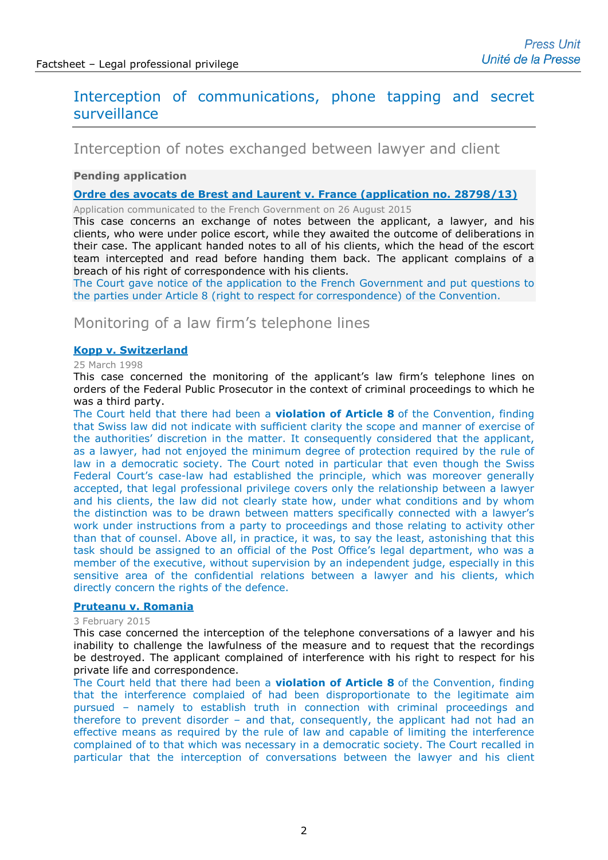# Interception of communications, phone tapping and secret surveillance

# Interception of notes exchanged between lawyer and client

# **Pending application**

**[Ordre des avocats de Brest and Laurent v. France](http://hudoc.echr.coe.int/eng?i=001-157296) (application no. 28798/13)**

Application communicated to the French Government on 26 August 2015

This case concerns an exchange of notes between the applicant, a lawyer, and his clients, who were under police escort, while they awaited the outcome of deliberations in their case. The applicant handed notes to all of his clients, which the head of the escort team intercepted and read before handing them back. The applicant complains of a breach of his right of correspondence with his clients.

The Court gave notice of the application to the French Government and put questions to the parties under Article 8 (right to respect for correspondence) of the Convention.

# Monitoring of a law firm's telephone lines

# **[Kopp v. Switzerland](http://hudoc.echr.coe.int/eng?i=001-58144)**

### 25 March 1998

This case concerned the monitoring of the applicant's law firm's telephone lines on orders of the Federal Public Prosecutor in the context of criminal proceedings to which he was a third party.

The Court held that there had been a **violation of Article 8** of the Convention, finding that Swiss law did not indicate with sufficient clarity the scope and manner of exercise of the authorities' discretion in the matter. It consequently considered that the applicant, as a lawyer, had not enjoyed the minimum degree of protection required by the rule of law in a democratic society. The Court noted in particular that even though the Swiss Federal Court's case-law had established the principle, which was moreover generally accepted, that legal professional privilege covers only the relationship between a lawyer and his clients, the law did not clearly state how, under what conditions and by whom the distinction was to be drawn between matters specifically connected with a lawyer's work under instructions from a party to proceedings and those relating to activity other than that of counsel. Above all, in practice, it was, to say the least, astonishing that this task should be assigned to an official of the Post Office's legal department, who was a member of the executive, without supervision by an independent judge, especially in this sensitive area of the confidential relations between a lawyer and his clients, which directly concern the rights of the defence.

### **[Pruteanu v. Romania](http://hudoc.echr.coe.int/eng?i=001-152275)**

#### 3 February 2015

This case concerned the interception of the telephone conversations of a lawyer and his inability to challenge the lawfulness of the measure and to request that the recordings be destroyed. The applicant complained of interference with his right to respect for his private life and correspondence.

The Court held that there had been a **violation of Article 8** of the Convention, finding that the interference complaied of had been disproportionate to the legitimate aim pursued – namely to establish truth in connection with criminal proceedings and therefore to prevent disorder – and that, consequently, the applicant had not had an effective means as required by the rule of law and capable of limiting the interference complained of to that which was necessary in a democratic society. The Court recalled in particular that the interception of conversations between the lawyer and his client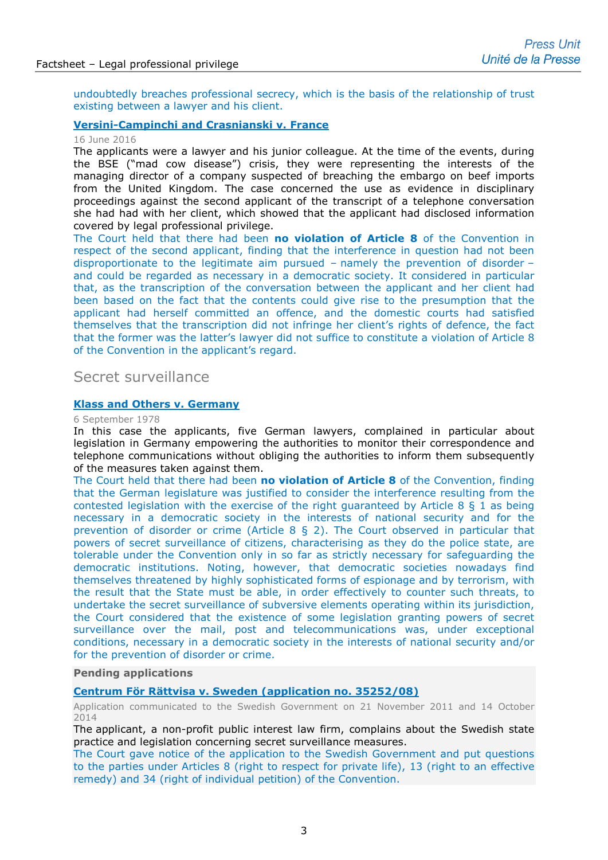undoubtedly breaches professional secrecy, which is the basis of the relationship of trust existing between a lawyer and his client.

### **[Versini-Campinchi and Crasnianski v. France](http://hudoc.echr.coe.int/eng-press?i=003-5408161-6766993)**

# 16 June 2016

The applicants were a lawyer and his junior colleague. At the time of the events, during the BSE ("mad cow disease") crisis, they were representing the interests of the managing director of a company suspected of breaching the embargo on beef imports from the United Kingdom. The case concerned the use as evidence in disciplinary proceedings against the second applicant of the transcript of a telephone conversation she had had with her client, which showed that the applicant had disclosed information covered by legal professional privilege.

The Court held that there had been **no violation of Article 8** of the Convention in respect of the second applicant, finding that the interference in question had not been disproportionate to the legitimate aim pursued – namely the prevention of disorder – and could be regarded as necessary in a democratic society. It considered in particular that, as the transcription of the conversation between the applicant and her client had been based on the fact that the contents could give rise to the presumption that the applicant had herself committed an offence, and the domestic courts had satisfied themselves that the transcription did not infringe her client's rights of defence, the fact that the former was the latter's lawyer did not suffice to constitute a violation of Article 8 of the Convention in the applicant's regard.

# Secret surveillance

### **[Klass and Others v. Germany](http://cmiskp.echr.coe.int/tkp197/view.asp?action=html&documentId=695387&portal=hbkm&source=externalbydocnumber&table=F69A27FD8FB86142BF01C1166DEA398649)**

### 6 September 1978

In this case the applicants, five German lawyers, complained in particular about legislation in Germany empowering the authorities to monitor their correspondence and telephone communications without obliging the authorities to inform them subsequently of the measures taken against them.

The Court held that there had been **no violation of Article 8** of the Convention, finding that the German legislature was justified to consider the interference resulting from the contested legislation with the exercise of the right guaranteed by Article 8 § 1 as being necessary in a democratic society in the interests of national security and for the prevention of disorder or crime (Article 8 § 2). The Court observed in particular that powers of secret surveillance of citizens, characterising as they do the police state, are tolerable under the Convention only in so far as strictly necessary for safeguarding the democratic institutions. Noting, however, that democratic societies nowadays find themselves threatened by highly sophisticated forms of espionage and by terrorism, with the result that the State must be able, in order effectively to counter such threats, to undertake the secret surveillance of subversive elements operating within its jurisdiction, the Court considered that the existence of some legislation granting powers of secret surveillance over the mail, post and telecommunications was, under exceptional conditions, necessary in a democratic society in the interests of national security and/or for the prevention of disorder or crime.

### **Pending applications**

# **[Centrum För Rättvisa v. Sweden \(application no. 35252/08\)](http://hudoc.echr.coe.int/eng?i=001-147946)**

Application communicated to the Swedish Government on 21 November 2011 and 14 October 2014

The applicant, a non-profit public interest law firm, complains about the Swedish state practice and legislation concerning secret surveillance measures.

The Court gave notice of the application to the Swedish Government and put questions to the parties under Articles 8 (right to respect for private life), 13 (right to an effective remedy) and 34 (right of individual petition) of the Convention.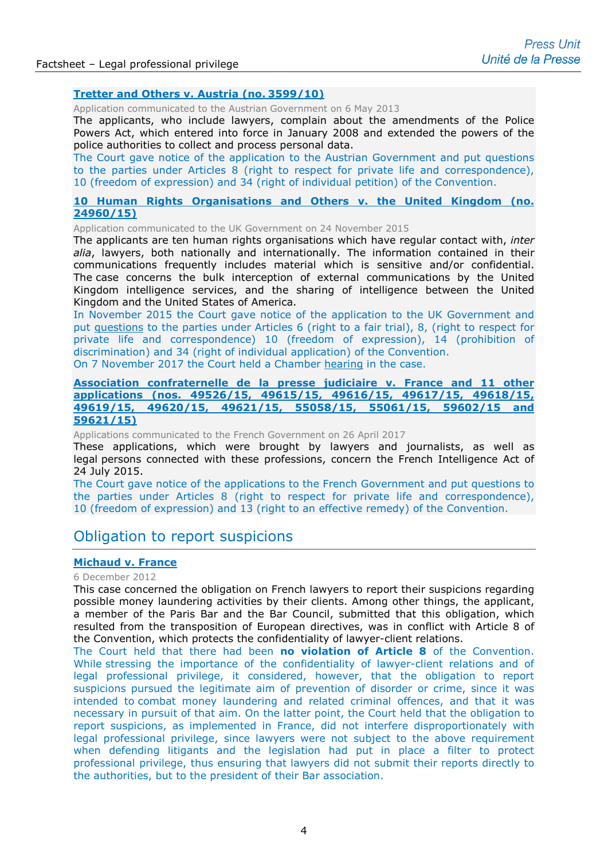### **[Tretter and Others v. Austria \(no.](http://hudoc.echr.coe.int/sites/eng/pages/search.aspx?i=001-120352) 3599/10)**

Application communicated to the Austrian Government on 6 May 2013

The applicants, who include lawyers, complain about the amendments of the Police Powers Act, which entered into force in January 2008 and extended the powers of the police authorities to collect and process personal data.

The Court gave notice of the application to the Austrian Government and put questions to the parties under Articles 8 (right to respect for private life and correspondence), 10 (freedom of expression) and 34 (right of individual petition) of the Convention.

## **[10 Human Rights Organisations and Others v. the United Kingdom \(no.](http://hudoc.echr.coe.int/eng-press?i=003-5907256-7537826)  [24960/15\)](http://hudoc.echr.coe.int/eng-press?i=003-5907256-7537826)**

Application communicated to the UK Government on 24 November 2015

The applicants are ten human rights organisations which have regular contact with, *inter alia*, lawyers, both nationally and internationally. The information contained in their communications frequently includes material which is sensitive and/or confidential. The case concerns the bulk interception of external communications by the United Kingdom intelligence services, and the sharing of intelligence between the United Kingdom and the United States of America.

In November 2015 the Court gave notice of the application to the UK Government and put [questions](http://hudoc.echr.coe.int/eng?i=001-159526) to the parties under Articles 6 (right to a fair trial), 8, (right to respect for private life and correspondence) 10 (freedom of expression), 14 (prohibition of discrimination) and 34 (right of individual application) of the Convention.

On 7 November 2017 the Court held a Chamber [hearing](http://www.echr.coe.int/Pages/home.aspx?p=hearings&w=5817013_07112017&language=en&c=&py=2017) in the case.

### **[Association confraternelle de la presse judiciaire v. France and 11 other](http://hudoc.echr.coe.int/eng?i=001-173634)  applications [\(nos. 49526/15, 49615/15, 49616/15, 49617/15, 49618/15,](http://hudoc.echr.coe.int/eng?i=001-173634)  [49619/15, 49620/15, 49621/15, 55058/15, 55061/15, 59602/15 and](http://hudoc.echr.coe.int/eng?i=001-173634) [59621/15\)](http://hudoc.echr.coe.int/eng?i=001-173634)**

Applications communicated to the French Government on 26 April 2017

These applications, which were brought by lawyers and journalists, as well as legal persons connected with these professions, concern the French Intelligence Act of 24 July 2015.

The Court gave notice of the applications to the French Government and put questions to the parties under Articles 8 (right to respect for private life and correspondence), 10 (freedom of expression) and 13 (right to an effective remedy) of the Convention.

# Obligation to report suspicions

### **[Michaud v. France](http://hudoc.echr.coe.int/sites/fra-press/pages/search.aspx?i=003-4185769-4956436)**

#### 6 December 2012

This case concerned the obligation on French lawyers to report their suspicions regarding possible money laundering activities by their clients. Among other things, the applicant, a member of the Paris Bar and the Bar Council, submitted that this obligation, which resulted from the transposition of European directives, was in conflict with Article 8 of the Convention, which protects the confidentiality of lawyer-client relations.

The Court held that there had been **no violation of Article 8** of the Convention. While stressing the importance of the confidentiality of lawyer-client relations and of legal professional privilege, it considered, however, that the obligation to report suspicions pursued the legitimate aim of prevention of disorder or crime, since it was intended to combat money laundering and related criminal offences, and that it was necessary in pursuit of that aim. On the latter point, the Court held that the obligation to report suspicions, as implemented in France, did not interfere disproportionately with legal professional privilege, since lawyers were not subject to the above requirement when defending litigants and the legislation had put in place a filter to protect professional privilege, thus ensuring that lawyers did not submit their reports directly to the authorities, but to the president of their Bar association.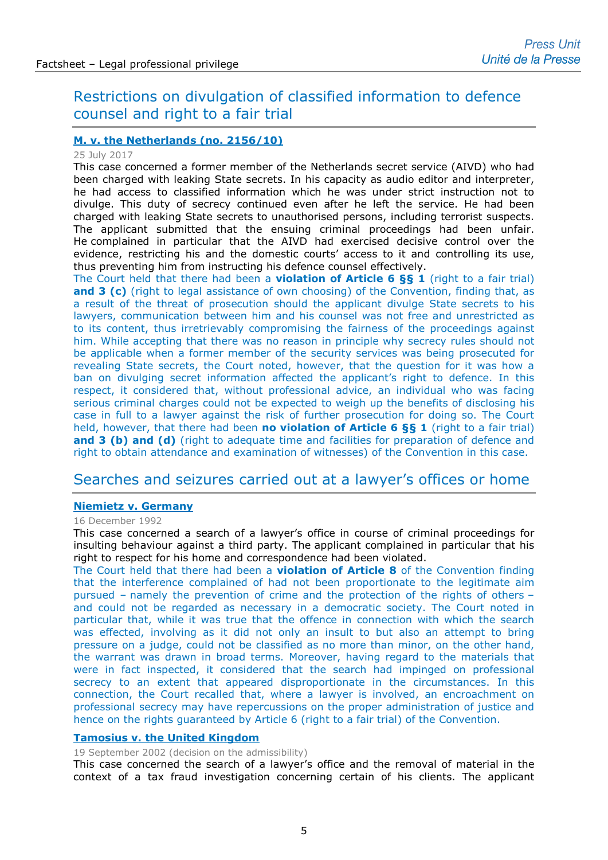# Restrictions on divulgation of classified information to defence counsel and right to a fair trial

# **[M. v. the Netherlands \(no. 2156/10\)](http://hudoc.echr.coe.int/eng-press?i=003-5798692-7377624)**

### 25 July 2017

This case concerned a former member of the Netherlands secret service (AIVD) who had been charged with leaking State secrets. In his capacity as audio editor and interpreter, he had access to classified information which he was under strict instruction not to divulge. This duty of secrecy continued even after he left the service. He had been charged with leaking State secrets to unauthorised persons, including terrorist suspects. The applicant submitted that the ensuing criminal proceedings had been unfair. He complained in particular that the AIVD had exercised decisive control over the evidence, restricting his and the domestic courts' access to it and controlling its use, thus preventing him from instructing his defence counsel effectively.

The Court held that there had been a **violation of Article 6 §§ 1** (right to a fair trial) and 3 (c) (right to legal assistance of own choosing) of the Convention, finding that, as a result of the threat of prosecution should the applicant divulge State secrets to his lawyers, communication between him and his counsel was not free and unrestricted as to its content, thus irretrievably compromising the fairness of the proceedings against him. While accepting that there was no reason in principle why secrecy rules should not be applicable when a former member of the security services was being prosecuted for revealing State secrets, the Court noted, however, that the question for it was how a ban on divulging secret information affected the applicant's right to defence. In this respect, it considered that, without professional advice, an individual who was facing serious criminal charges could not be expected to weigh up the benefits of disclosing his case in full to a lawyer against the risk of further prosecution for doing so. The Court held, however, that there had been **no violation of Article 6 §§ 1** (right to a fair trial) and 3 (b) and (d) (right to adequate time and facilities for preparation of defence and right to obtain attendance and examination of witnesses) of the Convention in this case.

# Searches and seizures carried out at a lawyer's offices or home

# **[Niemietz v. Germany](http://hudoc.echr.coe.int/eng?i=001-57887)**

### 16 December 1992

This case concerned a search of a lawyer's office in course of criminal proceedings for insulting behaviour against a third party. The applicant complained in particular that his right to respect for his home and correspondence had been violated.

The Court held that there had been a **violation of Article 8** of the Convention finding that the interference complained of had not been proportionate to the legitimate aim pursued – namely the prevention of crime and the protection of the rights of others – and could not be regarded as necessary in a democratic society. The Court noted in particular that, while it was true that the offence in connection with which the search was effected, involving as it did not only an insult to but also an attempt to bring pressure on a judge, could not be classified as no more than minor, on the other hand, the warrant was drawn in broad terms. Moreover, having regard to the materials that were in fact inspected, it considered that the search had impinged on professional secrecy to an extent that appeared disproportionate in the circumstances. In this connection, the Court recalled that, where a lawyer is involved, an encroachment on professional secrecy may have repercussions on the proper administration of justice and hence on the rights guaranteed by Article 6 (right to a fair trial) of the Convention.

# **[Tamosius v. the United Kingdom](http://hudoc.echr.coe.int/fre?i=001-22687)**

19 September 2002 (decision on the admissibility)

This case concerned the search of a lawyer's office and the removal of material in the context of a tax fraud investigation concerning certain of his clients. The applicant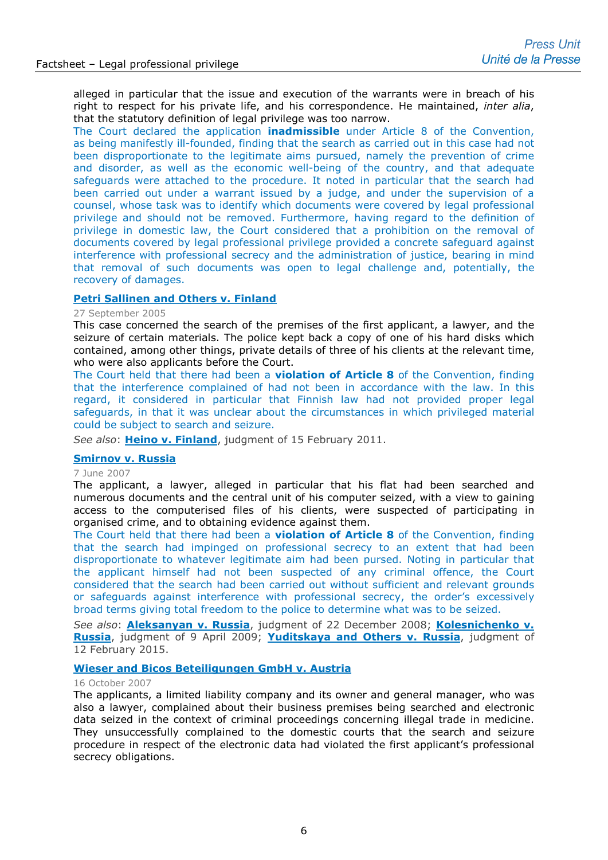alleged in particular that the issue and execution of the warrants were in breach of his right to respect for his private life, and his correspondence. He maintained, *inter alia*, that the statutory definition of legal privilege was too narrow.

The Court declared the application **inadmissible** under Article 8 of the Convention, as being manifestly ill-founded, finding that the search as carried out in this case had not been disproportionate to the legitimate aims pursued, namely the prevention of crime and disorder, as well as the economic well-being of the country, and that adequate safeguards were attached to the procedure. It noted in particular that the search had been carried out under a warrant issued by a judge, and under the supervision of a counsel, whose task was to identify which documents were covered by legal professional privilege and should not be removed. Furthermore, having regard to the definition of privilege in domestic law, the Court considered that a prohibition on the removal of documents covered by legal professional privilege provided a concrete safeguard against interference with professional secrecy and the administration of justice, bearing in mind that removal of such documents was open to legal challenge and, potentially, the recovery of damages.

# **[Petri Sallinen and Others v. Finland](http://hudoc.echr.coe.int/eng?i=001-70283)**

#### 27 September 2005

This case concerned the search of the premises of the first applicant, a lawyer, and the seizure of certain materials. The police kept back a copy of one of his hard disks which contained, among other things, private details of three of his clients at the relevant time, who were also applicants before the Court.

The Court held that there had been a **violation of Article 8** of the Convention, finding that the interference complained of had not been in accordance with the law. In this regard, it considered in particular that Finnish law had not provided proper legal safeguards, in that it was unclear about the circumstances in which privileged material could be subject to search and seizure.

*See also*: **[Heino v. Finland](http://hudoc.echr.coe.int/eng?i=001-103394)**, judgment of 15 February 2011.

### **[Smirnov v. Russia](http://hudoc.echr.coe.int/eng?i=002-2663)**

#### 7 June 2007

The applicant, a lawyer, alleged in particular that his flat had been searched and numerous documents and the central unit of his computer seized, with a view to gaining access to the computerised files of his clients, were suspected of participating in organised crime, and to obtaining evidence against them.

The Court held that there had been a **violation of Article 8** of the Convention, finding that the search had impinged on professional secrecy to an extent that had been disproportionate to whatever legitimate aim had been pursed. Noting in particular that the applicant himself had not been suspected of any criminal offence, the Court considered that the search had been carried out without sufficient and relevant grounds or safeguards against interference with professional secrecy, the order's excessively broad terms giving total freedom to the police to determine what was to be seized.

*See also*: **[Aleksanyan v. Russia](http://hudoc.echr.coe.int/eng?i=003-2592989-2814542)**, judgment of 22 December 2008; **[Kolesnichenko v.](http://hudoc.echr.coe.int/eng?i=001-92147)  [Russia](http://hudoc.echr.coe.int/eng?i=001-92147)**, judgment of 9 April 2009; **[Yuditskaya and Others v. Russia](http://hudoc.echr.coe.int/eng?i=001-151037)**, judgment of 12 February 2015.

### **[Wieser and Bicos Beteiligungen GmbH v. Austria](http://hudoc.echr.coe.int/eng?i=002-2473)**

### 16 October 2007

The applicants, a limited liability company and its owner and general manager, who was also a lawyer, complained about their business premises being searched and electronic data seized in the context of criminal proceedings concerning illegal trade in medicine. They unsuccessfully complained to the domestic courts that the search and seizure procedure in respect of the electronic data had violated the first applicant's professional secrecy obligations.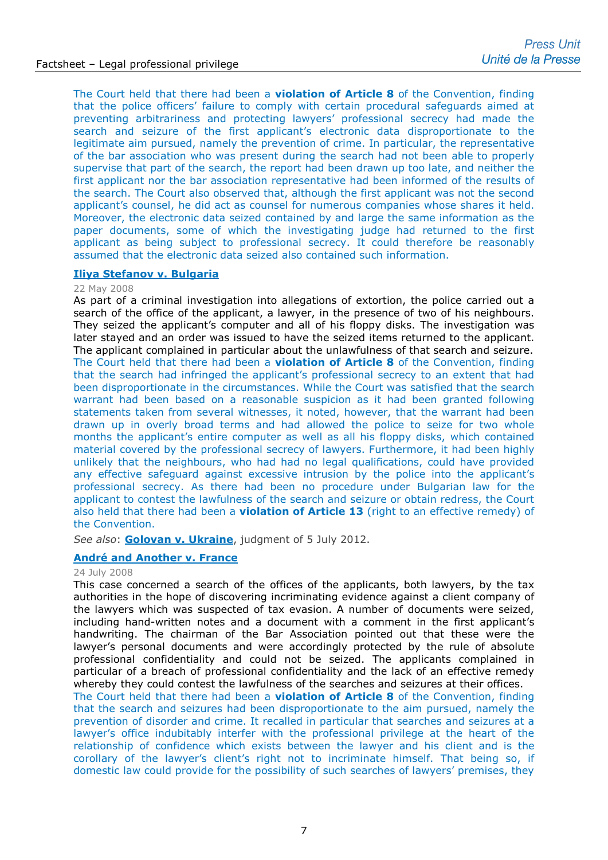The Court held that there had been a **violation of Article 8** of the Convention, finding that the police officers' failure to comply with certain procedural safeguards aimed at preventing arbitrariness and protecting lawyers' professional secrecy had made the search and seizure of the first applicant's electronic data disproportionate to the legitimate aim pursued, namely the prevention of crime. In particular, the representative of the bar association who was present during the search had not been able to properly supervise that part of the search, the report had been drawn up too late, and neither the first applicant nor the bar association representative had been informed of the results of the search. The Court also observed that, although the first applicant was not the second applicant's counsel, he did act as counsel for numerous companies whose shares it held. Moreover, the electronic data seized contained by and large the same information as the paper documents, some of which the investigating judge had returned to the first applicant as being subject to professional secrecy. It could therefore be reasonably assumed that the electronic data seized also contained such information.

# **[Iliya Stefanov v. Bulgaria](http://hudoc.echr.coe.int/fre?i=001-86449)**

### 22 May 2008

As part of a criminal investigation into allegations of extortion, the police carried out a search of the office of the applicant, a lawyer, in the presence of two of his neighbours. They seized the applicant's computer and all of his floppy disks. The investigation was later stayed and an order was issued to have the seized items returned to the applicant. The applicant complained in particular about the unlawfulness of that search and seizure. The Court held that there had been a **violation of Article 8** of the Convention, finding that the search had infringed the applicant's professional secrecy to an extent that had been disproportionate in the circumstances. While the Court was satisfied that the search warrant had been based on a reasonable suspicion as it had been granted following statements taken from several witnesses, it noted, however, that the warrant had been drawn up in overly broad terms and had allowed the police to seize for two whole months the applicant's entire computer as well as all his floppy disks, which contained material covered by the professional secrecy of lawyers. Furthermore, it had been highly unlikely that the neighbours, who had had no legal qualifications, could have provided any effective safeguard against excessive intrusion by the police into the applicant's professional secrecy. As there had been no procedure under Bulgarian law for the applicant to contest the lawfulness of the search and seizure or obtain redress, the Court also held that there had been a **violation of Article 13** (right to an effective remedy) of the Convention.

*See also*: **[Golovan v. Ukraine](http://hudoc.echr.coe.int/eng?i=001-112021)**, judgment of 5 July 2012.

# **[André and Another v. France](http://hudoc.echr.coe.int/eng?i=002-1984)**

### 24 July 2008

This case concerned a search of the offices of the applicants, both lawyers, by the tax authorities in the hope of discovering incriminating evidence against a client company of the lawyers which was suspected of tax evasion. A number of documents were seized, including hand-written notes and a document with a comment in the first applicant's handwriting. The chairman of the Bar Association pointed out that these were the lawyer's personal documents and were accordingly protected by the rule of absolute professional confidentiality and could not be seized. The applicants complained in particular of a breach of professional confidentiality and the lack of an effective remedy whereby they could contest the lawfulness of the searches and seizures at their offices.

The Court held that there had been a **violation of Article 8** of the Convention, finding that the search and seizures had been disproportionate to the aim pursued, namely the prevention of disorder and crime. It recalled in particular that searches and seizures at a lawyer's office indubitably interfer with the professional privilege at the heart of the relationship of confidence which exists between the lawyer and his client and is the corollary of the lawyer's client's right not to incriminate himself. That being so, if domestic law could provide for the possibility of such searches of lawyers' premises, they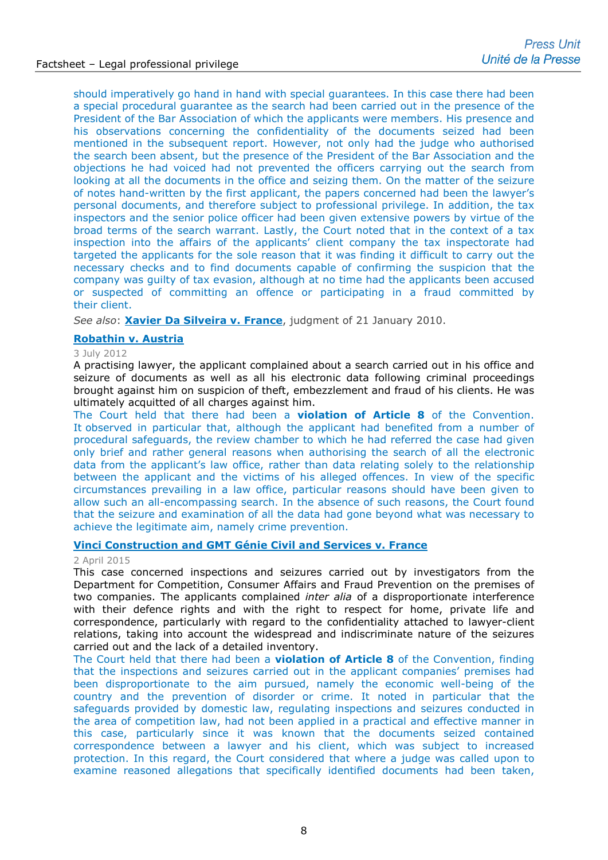should imperatively go hand in hand with special guarantees. In this case there had been a special procedural guarantee as the search had been carried out in the presence of the President of the Bar Association of which the applicants were members. His presence and his observations concerning the confidentiality of the documents seized had been mentioned in the subsequent report. However, not only had the judge who authorised the search been absent, but the presence of the President of the Bar Association and the objections he had voiced had not prevented the officers carrying out the search from looking at all the documents in the office and seizing them. On the matter of the seizure of notes hand-written by the first applicant, the papers concerned had been the lawyer's personal documents, and therefore subject to professional privilege. In addition, the tax inspectors and the senior police officer had been given extensive powers by virtue of the broad terms of the search warrant. Lastly, the Court noted that in the context of a tax inspection into the affairs of the applicants' client company the tax inspectorate had targeted the applicants for the sole reason that it was finding it difficult to carry out the necessary checks and to find documents capable of confirming the suspicion that the company was guilty of tax evasion, although at no time had the applicants been accused or suspected of committing an offence or participating in a fraud committed by their client.

*See also*: **[Xavier Da Silveira v. France](http://hudoc.echr.coe.int/eng-press?i=003-3001517-3308746)**, judgment of 21 January 2010.

# **[Robathin v. Austria](http://hudoc.echr.coe.int/eng?i=002-5567)**

3 July 2012

A practising lawyer, the applicant complained about a search carried out in his office and seizure of documents as well as all his electronic data following criminal proceedings brought against him on suspicion of theft, embezzlement and fraud of his clients. He was ultimately acquitted of all charges against him.

The Court held that there had been a **violation of Article 8** of the Convention. It observed in particular that, although the applicant had benefited from a number of procedural safeguards, the review chamber to which he had referred the case had given only brief and rather general reasons when authorising the search of all the electronic data from the applicant's law office, rather than data relating solely to the relationship between the applicant and the victims of his alleged offences. In view of the specific circumstances prevailing in a law office, particular reasons should have been given to allow such an all-encompassing search. In the absence of such reasons, the Court found that the seizure and examination of all the data had gone beyond what was necessary to achieve the legitimate aim, namely crime prevention.

# **[Vinci Construction and GMT Génie Civil and Services v. France](http://hudoc.echr.coe.int/eng-press?i=003-5055260-6217032)**

### 2 April 2015

This case concerned inspections and seizures carried out by investigators from the Department for Competition, Consumer Affairs and Fraud Prevention on the premises of two companies. The applicants complained *inter alia* of a disproportionate interference with their defence rights and with the right to respect for home, private life and correspondence, particularly with regard to the confidentiality attached to lawyer-client relations, taking into account the widespread and indiscriminate nature of the seizures carried out and the lack of a detailed inventory.

The Court held that there had been a **violation of Article 8** of the Convention, finding that the inspections and seizures carried out in the applicant companies' premises had been disproportionate to the aim pursued, namely the economic well-being of the country and the prevention of disorder or crime. It noted in particular that the safeguards provided by domestic law, regulating inspections and seizures conducted in the area of competition law, had not been applied in a practical and effective manner in this case, particularly since it was known that the documents seized contained correspondence between a lawyer and his client, which was subject to increased protection. In this regard, the Court considered that where a judge was called upon to examine reasoned allegations that specifically identified documents had been taken,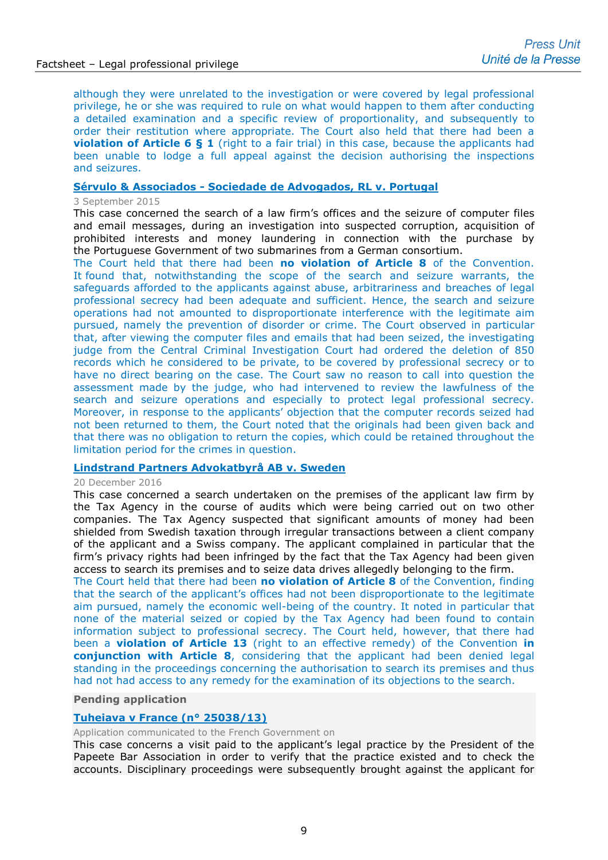although they were unrelated to the investigation or were covered by legal professional privilege, he or she was required to rule on what would happen to them after conducting a detailed examination and a specific review of proportionality, and subsequently to order their restitution where appropriate. The Court also held that there had been a **violation of Article 6 § 1** (right to a fair trial) in this case, because the applicants had been unable to lodge a full appeal against the decision authorising the inspections and seizures.

# **Sérvulo & Associados - [Sociedade de Advogados, RL v. Portugal](http://hudoc.echr.coe.int/eng?i=003-5160398-6379496)**

### 3 September 2015

This case concerned the search of a law firm's offices and the seizure of computer files and email messages, during an investigation into suspected corruption, acquisition of prohibited interests and money laundering in connection with the purchase by the Portuguese Government of two submarines from a German consortium.

The Court held that there had been **no violation of Article 8** of the Convention. It found that, notwithstanding the scope of the search and seizure warrants, the safeguards afforded to the applicants against abuse, arbitrariness and breaches of legal professional secrecy had been adequate and sufficient. Hence, the search and seizure operations had not amounted to disproportionate interference with the legitimate aim pursued, namely the prevention of disorder or crime. The Court observed in particular that, after viewing the computer files and emails that had been seized, the investigating judge from the Central Criminal Investigation Court had ordered the deletion of 850 records which he considered to be private, to be covered by professional secrecy or to have no direct bearing on the case. The Court saw no reason to call into question the assessment made by the judge, who had intervened to review the lawfulness of the search and seizure operations and especially to protect legal professional secrecy. Moreover, in response to the applicants' objection that the computer records seized had not been returned to them, the Court noted that the originals had been given back and that there was no obligation to return the copies, which could be retained throughout the limitation period for the crimes in question.

## **[Lindstrand Partners Advokatbyrå AB v. Sweden](http://hudoc.echr.coe.int/eng?i=001-169654)**

#### 20 December 2016

This case concerned a search undertaken on the premises of the applicant law firm by the Tax Agency in the course of audits which were being carried out on two other companies. The Tax Agency suspected that significant amounts of money had been shielded from Swedish taxation through irregular transactions between a client company of the applicant and a Swiss company. The applicant complained in particular that the firm's privacy rights had been infringed by the fact that the Tax Agency had been given access to search its premises and to seize data drives allegedly belonging to the firm.

The Court held that there had been **no violation of Article 8** of the Convention, finding that the search of the applicant's offices had not been disproportionate to the legitimate aim pursued, namely the economic well-being of the country. It noted in particular that none of the material seized or copied by the Tax Agency had been found to contain information subject to professional secrecy. The Court held, however, that there had been a **violation of Article 13** (right to an effective remedy) of the Convention **in conjunction with Article 8**, considering that the applicant had been denied legal standing in the proceedings concerning the authorisation to search its premises and thus had not had access to any remedy for the examination of its objections to the search.

#### **Pending application**

### **Tuheiava v [France \(n° 25038/13\)](http://hudoc.echr.coe.int/eng?i=001-157327)**

Application communicated to the French Government on

This case concerns a visit paid to the applicant's legal practice by the President of the Papeete Bar Association in order to verify that the practice existed and to check the accounts. Disciplinary proceedings were subsequently brought against the applicant for